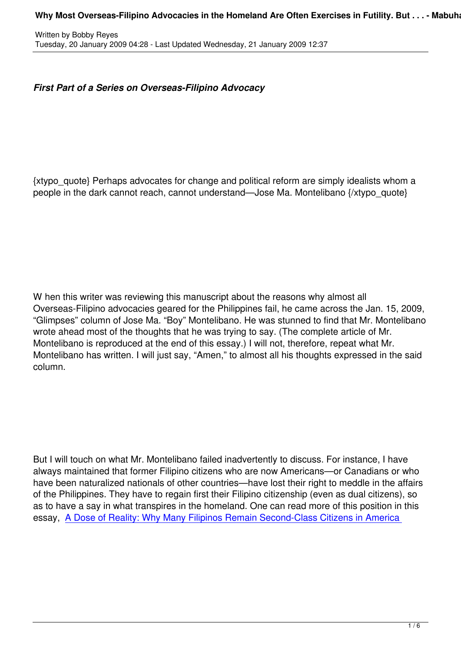## *First Part of a Series on Overseas-Filipino Advocacy*

{xtypo\_quote} Perhaps advocates for change and political reform are simply idealists whom a people in the dark cannot reach, cannot understand—Jose Ma. Montelibano {/xtypo\_quote}

W hen this writer was reviewing this manuscript about the reasons why almost all Overseas-Filipino advocacies geared for the Philippines fail, he came across the Jan. 15, 2009, "Glimpses" column of Jose Ma. "Boy" Montelibano. He was stunned to find that Mr. Montelibano wrote ahead most of the thoughts that he was trying to say. (The complete article of Mr. Montelibano is reproduced at the end of this essay.) I will not, therefore, repeat what Mr. Montelibano has written. I will just say, "Amen," to almost all his thoughts expressed in the said column.

But I will touch on what Mr. Montelibano failed inadvertently to discuss. For instance, I have always maintained that former Filipino citizens who are now Americans—or Canadians or who have been naturalized nationals of other countries—have lost their right to meddle in the affairs of the Philippines. They have to regain first their Filipino citizenship (even as dual citizens), so as to have a say in what transpires in the homeland. One can read more of this position in this essay, A Dose of Reality: Why Many Filipinos Remain Second-Class Citizens in America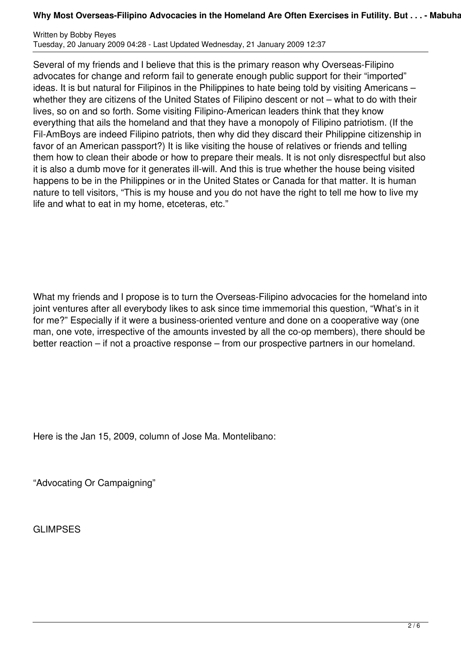## Why Most Overseas-Filipino Advocacies in the Homeland Are Often Exercises in Futility. But . . . - Mabuha

Written by Bobby Reyes Tuesday, 20 January 2009 04:28 - Last Updated Wednesday, 21 January 2009 12:37

Several of my friends and I believe that this is the primary reason why Overseas-Filipino advocates for change and reform fail to generate enough public support for their "imported" ideas. It is but natural for Filipinos in the Philippines to hate being told by visiting Americans – whether they are citizens of the United States of Filipino descent or not – what to do with their lives, so on and so forth. Some visiting Filipino-American leaders think that they know everything that ails the homeland and that they have a monopoly of Filipino patriotism. (If the Fil-AmBoys are indeed Filipino patriots, then why did they discard their Philippine citizenship in favor of an American passport?) It is like visiting the house of relatives or friends and telling them how to clean their abode or how to prepare their meals. It is not only disrespectful but also it is also a dumb move for it generates ill-will. And this is true whether the house being visited happens to be in the Philippines or in the United States or Canada for that matter. It is human nature to tell visitors, "This is my house and you do not have the right to tell me how to live my life and what to eat in my home, etceteras, etc."

What my friends and I propose is to turn the Overseas-Filipino advocacies for the homeland into joint ventures after all everybody likes to ask since time immemorial this question, "What's in it for me?" Especially if it were a business-oriented venture and done on a cooperative way (one man, one vote, irrespective of the amounts invested by all the co-op members), there should be better reaction – if not a proactive response – from our prospective partners in our homeland.

Here is the Jan 15, 2009, column of Jose Ma. Montelibano:

"Advocating Or Campaigning"

**GLIMPSES**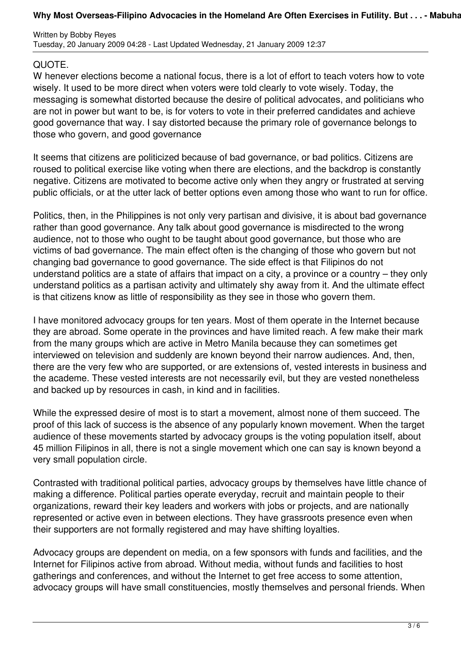## Why Most Overseas-Filipino Advocacies in the Homeland Are Often Exercises in Futility. But . . . - Mabuha

## QUOTE.

W henever elections become a national focus, there is a lot of effort to teach voters how to vote wisely. It used to be more direct when voters were told clearly to vote wisely. Today, the messaging is somewhat distorted because the desire of political advocates, and politicians who are not in power but want to be, is for voters to vote in their preferred candidates and achieve good governance that way. I say distorted because the primary role of governance belongs to those who govern, and good governance

It seems that citizens are politicized because of bad governance, or bad politics. Citizens are roused to political exercise like voting when there are elections, and the backdrop is constantly negative. Citizens are motivated to become active only when they angry or frustrated at serving public officials, or at the utter lack of better options even among those who want to run for office.

Politics, then, in the Philippines is not only very partisan and divisive, it is about bad governance rather than good governance. Any talk about good governance is misdirected to the wrong audience, not to those who ought to be taught about good governance, but those who are victims of bad governance. The main effect often is the changing of those who govern but not changing bad governance to good governance. The side effect is that Filipinos do not understand politics are a state of affairs that impact on a city, a province or a country – they only understand politics as a partisan activity and ultimately shy away from it. And the ultimate effect is that citizens know as little of responsibility as they see in those who govern them.

I have monitored advocacy groups for ten years. Most of them operate in the Internet because they are abroad. Some operate in the provinces and have limited reach. A few make their mark from the many groups which are active in Metro Manila because they can sometimes get interviewed on television and suddenly are known beyond their narrow audiences. And, then, there are the very few who are supported, or are extensions of, vested interests in business and the academe. These vested interests are not necessarily evil, but they are vested nonetheless and backed up by resources in cash, in kind and in facilities.

While the expressed desire of most is to start a movement, almost none of them succeed. The proof of this lack of success is the absence of any popularly known movement. When the target audience of these movements started by advocacy groups is the voting population itself, about 45 million Filipinos in all, there is not a single movement which one can say is known beyond a very small population circle.

Contrasted with traditional political parties, advocacy groups by themselves have little chance of making a difference. Political parties operate everyday, recruit and maintain people to their organizations, reward their key leaders and workers with jobs or projects, and are nationally represented or active even in between elections. They have grassroots presence even when their supporters are not formally registered and may have shifting loyalties.

Advocacy groups are dependent on media, on a few sponsors with funds and facilities, and the Internet for Filipinos active from abroad. Without media, without funds and facilities to host gatherings and conferences, and without the Internet to get free access to some attention, advocacy groups will have small constituencies, mostly themselves and personal friends. When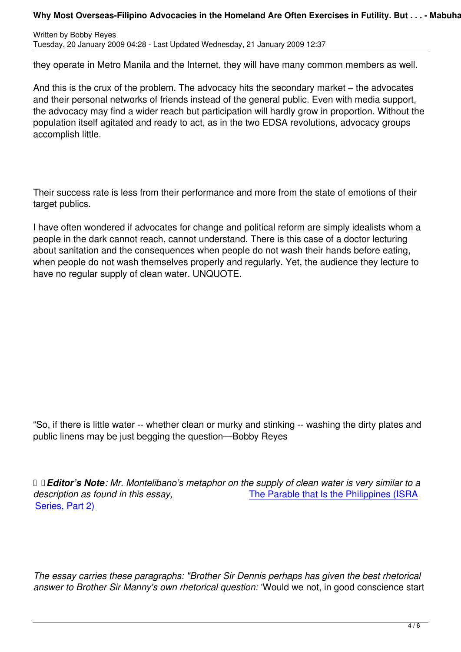they operate in Metro Manila and the Internet, they will have many common members as well.

And this is the crux of the problem. The advocacy hits the secondary market – the advocates and their personal networks of friends instead of the general public. Even with media support, the advocacy may find a wider reach but participation will hardly grow in proportion. Without the population itself agitated and ready to act, as in the two EDSA revolutions, advocacy groups accomplish little.

Their success rate is less from their performance and more from the state of emotions of their target publics.

I have often wondered if advocates for change and political reform are simply idealists whom a people in the dark cannot reach, cannot understand. There is this case of a doctor lecturing about sanitation and the consequences when people do not wash their hands before eating, when people do not wash themselves properly and regularly. Yet, the audience they lecture to have no regular supply of clean water. UNQUOTE.

"So, if there is little water -- whether clean or murky and stinking -- washing the dirty plates and public linens may be just begging the question—Bobby Reyes

 *Editor's Note: Mr. Montelibano's metaphor on the supply of clean water is very similar to a description as found in this essay,* The Parable that Is the Philippines (ISRA Series, Part 2)

*The essay carries these paragraphs: "Brother Sir Dennis perhaps has given the best rhetorical answer to Brother Sir Manny's own rhetorical question:* 'Would we not, in good conscience start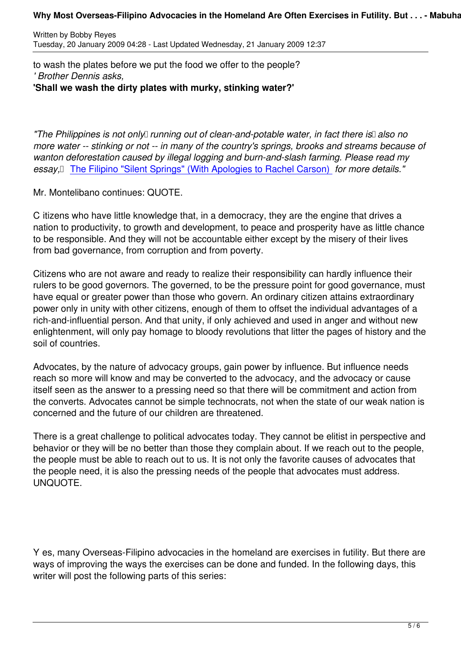to wash the plates before we put the food we offer to the people? *' Brother Dennis asks,* **'Shall we wash the dirty plates with murky, stinking water?'**

*"The Philippines is not only running out of clean-and-potable water, in fact there is* also no *more water -- stinking or not -- in many of the country's springs, brooks and streams because of wanton deforestation caused by illegal logging and burn-and-slash farming. Please read my essay,* **The Filipino "Silent Springs" (With Apologies to Rachel Carson) for more details."** 

Mr. Montelibano continues: QUOTE.

C itizens [who have little knowledge that, in a democracy, they are the eng](content/view/2736/90)ine that drives a nation to productivity, to growth and development, to peace and prosperity have as little chance to be responsible. And they will not be accountable either except by the misery of their lives from bad governance, from corruption and from poverty.

Citizens who are not aware and ready to realize their responsibility can hardly influence their rulers to be good governors. The governed, to be the pressure point for good governance, must have equal or greater power than those who govern. An ordinary citizen attains extraordinary power only in unity with other citizens, enough of them to offset the individual advantages of a rich-and-influential person. And that unity, if only achieved and used in anger and without new enlightenment, will only pay homage to bloody revolutions that litter the pages of history and the soil of countries.

Advocates, by the nature of advocacy groups, gain power by influence. But influence needs reach so more will know and may be converted to the advocacy, and the advocacy or cause itself seen as the answer to a pressing need so that there will be commitment and action from the converts. Advocates cannot be simple technocrats, not when the state of our weak nation is concerned and the future of our children are threatened.

There is a great challenge to political advocates today. They cannot be elitist in perspective and behavior or they will be no better than those they complain about. If we reach out to the people, the people must be able to reach out to us. It is not only the favorite causes of advocates that the people need, it is also the pressing needs of the people that advocates must address. UNQUOTE.

Y es, many Overseas-Filipino advocacies in the homeland are exercises in futility. But there are ways of improving the ways the exercises can be done and funded. In the following days, this writer will post the following parts of this series: